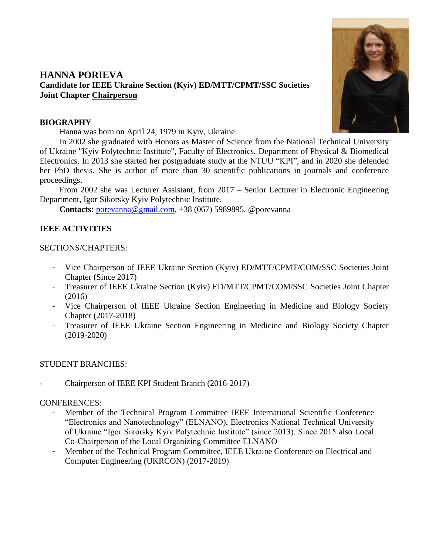

# **HANNA PORIEVA Candidate for IEEE Ukraine Section (Kyiv) ED/MTT/CPMT/SSC Societies Joint Chapter Chairperson**

#### **BIOGRAPHY**

Hanna was born on April 24, 1979 in Kyiv, Ukraine.

In 2002 she graduated with Honors as Master of Science from the National Technical University of Ukraine "Kyiv Polytechnic Institute", Faculty of Electronics, Department of Physical & Biomedical Electronics. In 2013 she started her postgraduate study at the NTUU "KPI", and in 2020 she defended her PhD thesis. She is author of more than 30 scientific publications in journals and conference proceedings.

From 2002 she was Lecturer Assistant, from 2017 – Senior Lecturer in Electronic Engineering Department, Igor Sikorsky Kyiv Polytechnic Institute.

**Contacts:** [porevanna@gmail.com,](mailto:porevanna@gmail.com) +38 (067) 5989895, @porevanna

# **IEEE ACTIVITIES**

## SECTIONS/CHAPTERS:

- Vice Chairperson of IEEE Ukraine Section (Kyiv) ED/MTT/CPMT/COM/SSC Societies Joint Chapter (Since 2017)
- Treasurer of IEEE Ukraine Section (Kyiv) ED/MTT/CPMT/COM/SSC Societies Joint Chapter (2016)
- Vice Chairperson of IEEE Ukraine Section Engineering in Medicine and Biology Society Chapter (2017-2018)
- Treasurer of IEEE Ukraine Section Engineering in Medicine and Biology Society Chapter (2019-2020)

# STUDENT BRANCHES:

- Chairperson of IEEE KPI Student Branch (2016-2017)

#### CONFERENCES:

- Member of the Technical Program Committee IEEE International Scientific Conference "Electronics and Nanotechnology" (ELNANO), Electronics National Technical University of Ukraine "Igor Sikorsky Kyiv Polytechnic Institute" (since 2013). Since 2015 also Local Co-Chairperson of the Local Organizing Committee ELNANO
- Member of the Technical Program Committee, IEEE Ukraine Conference on Electrical and Computer Engineering (UKRCON) (2017-2019)